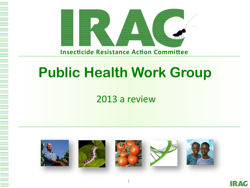

# **Public Health Work Group**

#### 2013 a review



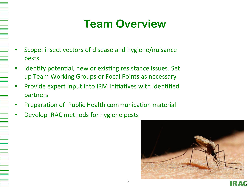### **Team Overview**

- Scope: insect vectors of disease and hygiene/nuisance pests
- Identify potential, new or existing resistance issues. Set up Team Working Groups or Focal Points as necessary
- Provide expert input into IRM initiatives with identified partners
- Preparation of Public Health communication material
- Develop IRAC methods for hygiene pests

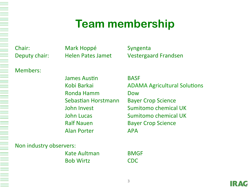#### **Team membership**

Chair: Mark Hoppé Syngenta

Members: 

James Austin **BASF** Ronda Hamm **Dow** Sebastian Horstmann Bayer Crop Science Ralf Nauen **Bayer Crop Science** Alan Porter **APA** 

Deputy chair: Helen Pates Jamet Vestergaard Frandsen

Kobi Barkai **ADAMA** Agricultural Solutions John Invest **Sumitomo** chemical UK **John Lucas Communist Constructed Sumitomo chemical UK** 

Non industry observers:

Kate Aultman **BMGF** Bob Wirtz **CDC**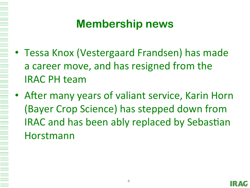#### **Membership news**

- Tessa Knox (Vestergaard Frandsen) has made a career move, and has resigned from the IRAC PH team
- After many years of valiant service, Karin Horn (Bayer Crop Science) has stepped down from IRAC and has been ably replaced by Sebastian Horstmann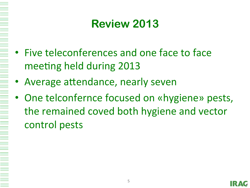### **Review 2013**

- Five teleconferences and one face to face meeting held during 2013
- Average attendance, nearly seven
- One telconfernce focused on «hygiene» pests, the remained coved both hygiene and vector control pests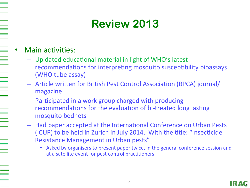# **Review 2013**

#### Main activities:

- Up dated educational material in light of WHO's latest recommendations for interpreting mosquito susceptibility bioassays (WHO tube assay)
- $-$  Article written for British Pest Control Association (BPCA) journal/ magazine
- $-$  Participated in a work group charged with producing recommendations for the evaluation of bi-treated long lasting mosquito bednets
- $-$  Had paper accepted at the International Conference on Urban Pests (ICUP) to be held in Zurich in July 2014. With the title: "Insecticide Resistance Management in Urban pests"
	- Asked by organisers to present paper twice, in the general conference session and at a satellite event for pest control practitioners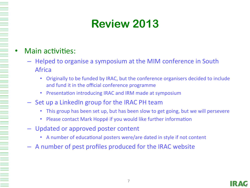# **Review 2013**

#### Main activities:

- Helped to organise a symposium at the MIM conference in South Africa
	- Originally to be funded by IRAC, but the conference organisers decided to include and fund it in the official conference programme
	- **Presentation introducing IRAC and IRM made at symposium**
- $-$  Set up a LinkedIn group for the IRAC PH team
	- This group has been set up, but has been slow to get going, but we will persevere
	- Please contact Mark Hoppé if you would like further information
- Updated or approved poster content
	- A number of educational posters were/are dated in style if not content
- $-$  A number of pest profiles produced for the IRAC website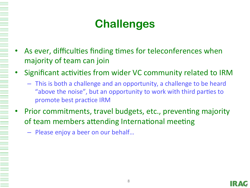### **Challenges**

- As ever, difficulties finding times for teleconferences when majority of team can join
- Significant activities from wider VC community related to IRM
	- $-$  This is both a challenge and an opportunity, a challenge to be heard "above the noise", but an opportunity to work with third parties to promote best practice IRM
- Prior commitments, travel budgets, etc., preventing majority of team members attending International meeting
	- Please enjoy a beer on our behalf...